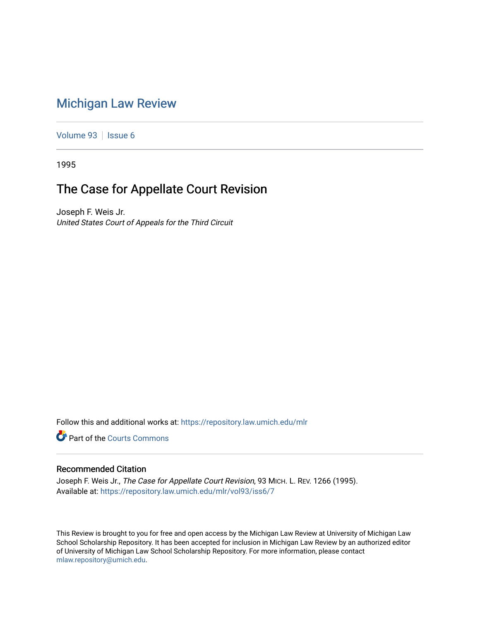# [Michigan Law Review](https://repository.law.umich.edu/mlr)

[Volume 93](https://repository.law.umich.edu/mlr/vol93) | [Issue 6](https://repository.law.umich.edu/mlr/vol93/iss6)

1995

## The Case for Appellate Court Revision

Joseph F. Weis Jr. United States Court of Appeals for the Third Circuit

Follow this and additional works at: [https://repository.law.umich.edu/mlr](https://repository.law.umich.edu/mlr?utm_source=repository.law.umich.edu%2Fmlr%2Fvol93%2Fiss6%2F7&utm_medium=PDF&utm_campaign=PDFCoverPages) 

Part of the [Courts Commons](http://network.bepress.com/hgg/discipline/839?utm_source=repository.law.umich.edu%2Fmlr%2Fvol93%2Fiss6%2F7&utm_medium=PDF&utm_campaign=PDFCoverPages) 

### Recommended Citation

Joseph F. Weis Jr., The Case for Appellate Court Revision, 93 MICH. L. REV. 1266 (1995). Available at: [https://repository.law.umich.edu/mlr/vol93/iss6/7](https://repository.law.umich.edu/mlr/vol93/iss6/7?utm_source=repository.law.umich.edu%2Fmlr%2Fvol93%2Fiss6%2F7&utm_medium=PDF&utm_campaign=PDFCoverPages)

This Review is brought to you for free and open access by the Michigan Law Review at University of Michigan Law School Scholarship Repository. It has been accepted for inclusion in Michigan Law Review by an authorized editor of University of Michigan Law School Scholarship Repository. For more information, please contact [mlaw.repository@umich.edu.](mailto:mlaw.repository@umich.edu)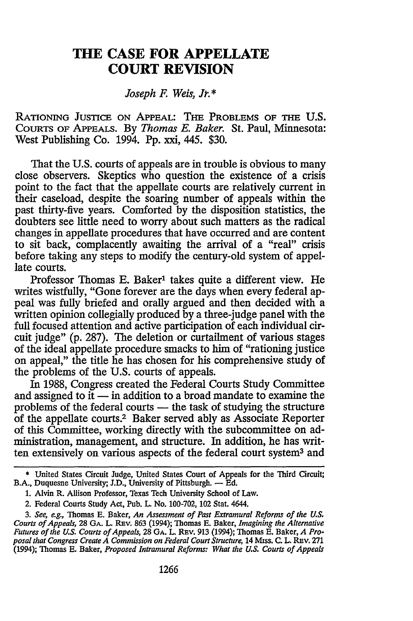### **THE CASE FOR APPELLATE COURT REVISION**

#### *Joseph F. Weis, J'.\**

RATIONING JUSTICE ON APPEAL: THE PROBLEMS OF THE **U.S.** COURTS OF APPEALS. By *Thomas E. Baker.* St. Paul, Minnesota: West Publishing Co. 1994. Pp. xxi, 445. \$30.

That the U.S. courts of appeals are in trouble is obvious to many close observers. Skeptics who question the existence of a crisis point to the fact that the appellate courts are relatively current in their caseload, despite the soaring number of appeals within the past thirty-five years. Comforted by the disposition statistics, the doubters see little need to worry about such matters as the radical changes in appellate procedures that have occurred and are content to sit back, complacently awaiting the arrival of a "real" crisis before taking any steps to modify the century-old system of appellate courts.

Professor Thomas E. Baker<sup>1</sup> takes quite a different view. He writes wistfully, "Gone forever are the days when every federal appeal was fully briefed and orally argued and then decided with a written opinion collegially produced by a three-judge panel with the full focused attention and active participation of each individual circuit judge" (p. 287). The deletion or curtailment of various stages of the ideal appellate procedure smacks to him of "rationing justice on appeal," the title he has chosen for his comprehensive study of the problems of the U.S. courts of appeals.

In 1988, Congress created the Federal Courts Study Committee and assigned to it  $-$  in addition to a broad mandate to examine the problems of the federal courts - the task of studying the structure of the appellate courts.2 Baker served ably as Associate Reporter of this Committee, working directly with the subcommittee on administration, management, and structure. In addition, he has written extensively on various aspects of the federal court system3 and

<sup>\*</sup> United States Circuit Judge, United States Court of Appeals for the Third Circuit; B.A., Duquesne University; J.D., University of Pittsburgh. - Ed.

<sup>1.</sup> Alvin R. Allison Professor, Texas Tech University School of Law.

<sup>2.</sup> Federal Courts Study Act, Pub. L. No. 100-702, 102 Stat. 4644.

*<sup>3.</sup> See, eg.,* Thomas E. Baker, *An Assessment of Past Extramural Reforms of the U.S. Courts of Appeals,* 28 **GA.** L REv. 863 (1994); Thomas E. Baker, *Imagining the Alternative Futures of the U.S. Courts of Appeals,* 28 **GA.** L. Rav. 913 (1994); Thomas **E.** Baker, *A Pro*posal that Congress Create A Commission on Federal Court Structure, 14 Miss. C. L. REV. 271 (1994); Thomas **E.** Baker, *Proposed Intramural Reforms: What the U.S. Courts of Appeals*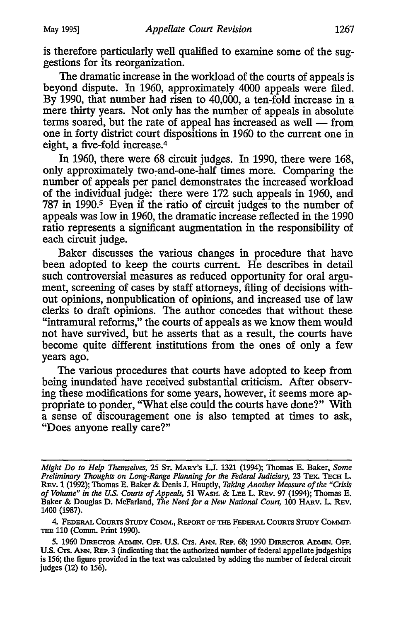is therefore particularly well qualified to examine some of the suggestions for its reorganization.

The dramatic increase in the workload of the courts of appeals is beyond dispute. In 1960, approximately 4000 appeals were filed. By 1990, that number had risen to 40,000, a ten-fold increase in a mere thirty years. Not only has the number of appeals in absolute terms soared, but the rate of appeal has increased as well — from one in forty district court dispositions in 1960 to the current one in eight, a five-fold increase.<sup>4</sup>

In 1960, there were 68 circuit judges. In 1990, there were 168, only approximately two-and-one-half times more. Comparing the number of appeals per panel demonstrates the increased workload of the individual judge: there were **172** such appeals in 1960, and 787 in 1990.<sup>5</sup> Even if the ratio of circuit judges to the number of appeals was low in 1960, the dramatic increase reflected in the 1990 ratio represents a significant augmentation in the responsibility of each circuit judge.

Baker discusses the various changes in procedure that have been adopted to keep the courts current. He describes in detail such controversial measures as reduced opportunity for oral argument, screening of cases by staff attorneys, filing of decisions without opinions, nonpublication of opinions, and increased use of law clerks to draft opinions. The author concedes that without these "intramural reforms," the courts of appeals as we know them would not have survived, but he asserts that as a result, the courts have become quite different institutions from the ones of only a few years ago.

The various procedures that courts have adopted to keep from being inundated have received substantial criticism. After observing these modifications for some years, however, it seems more appropriate to ponder, "What else could the courts have done?" With a sense of discouragement one is also tempted at times to ask, "Does anyone really care?"

4. **FEDERAL COURTS** STUDY COMM., REPORT OF **THE FEDERAL** COURTS STUDY **CoMMIT-TEE 110** (Comm. Print 1990).

*Might Do to Help Themselves,* 25 **ST.** MARY'S **LW.** 1321 (1994); Thomas **E.** Baker, *Some Preliminary Thoughts on Long-Range Planning for the Federal Judiciary, 23 TEX. TECH L.* REv. **1** (1992); Thomas E. Baker & Denis **I.** Hauptly, *Taking Another Measure of the "Crisis of Volume" in the U.S. Courts of Appeals,* <sup>51</sup>**WASH.** & LEE L. REv. 97 (1994); Thomas E. Baker & Douglas D. McFarland, *The Need for a New National Court,* **100** HARv. L. REv. 1400 (1987).

*<sup>5.</sup>* **1960** DiREcroR ADmi. OFF. **U.S.** CTS. **ANN. REP.** 68; **1990 DIRECrOR ADMIN. OFF. U.S.** Crs. **ANN.** REP. 3 (indicating that the authorized number of federal appellate judgeships is 156; the figure provided in the text was calculated by adding the number of federal circuit judges (12) to 156).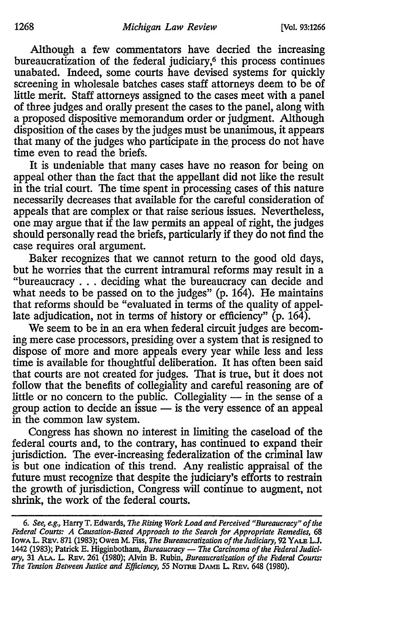Although a few commentators have decried the increasing bureaucratization of the federal judiciary,<sup>6</sup> this process continues unabated. Indeed, some courts have devised systems for quickly screening in wholesale batches cases staff attorneys deem to be of little merit. Staff attorneys assigned to the cases meet with a panel of three judges and orally present the cases to the panel, along with a proposed dispositive memorandum order or judgment. Although disposition of the cases by the judges must be unanimous, it appears that many of the judges who participate in the process do not have time even to read the briefs.

It is undeniable that many cases have no reason for being on appeal other than the fact that the appellant did not like the result in the trial court. The time spent in processing cases of this nature necessarily decreases that available for the careful consideration of appeals that are complex or that raise serious issues. Nevertheless, one may argue that if the law permits an appeal of right, the judges should personally read the briefs, particularly if they do not find the case requires oral argument.

Baker recognizes that we cannot return to the good old days, but he worries that the current intramural reforms may result in a "bureaucracy ... deciding what the bureaucracy can decide and what needs to be passed on to the judges" (p. 164). He maintains that reforms should be "evaluated in terms of the quality of appellate adjudication, not in terms of history or efficiency" (p. 164).

We seem to be in an era when federal circuit judges are becoming mere case processors, presiding over a system that is resigned to dispose of more and more appeals every year while less and less time is available for thoughtful deliberation. It has often been said that courts are not created for judges. That is true, but it does not follow that the benefits of collegiality and careful reasoning are of little or no concern to the public. Collegiality  $-$  in the sense of a group action to decide an issue  $-$  is the very essence of an appeal in the common law system.

Congress has shown no interest in limiting the caseload of the federal courts and, to the contrary, has continued to expand their jurisdiction. The ever-increasing federalization of the criminal law is but one indication of this trend. Any realistic appraisal of the future must recognize that despite the judiciary's efforts to restrain the growth of jurisdiction, Congress will continue to augment, not shrink, the work of the federal courts.

*<sup>6.</sup> See, eg.,* Harry T. Edwards, *The Rising Work Load and Perceived "Bureaucracy" of the Federal Courts: A Causation-Based Approach to the Search for Appropriate Remedies,* 68 Iowa L. Rev. 871 (1983); Owen M. Fiss, *The Bureaucratization of the Judiciary*, 92 YALE L.J. 1442 (1983); Patrick E. Higginbotham, *Bureaucracy - The Carcinoma of the Federal Judiciary,* 31 **ALA.** L. REv. 261 (1980); Alvin B. Rubin, *Bureaucratization of the Federal Courts:* The Tension Between Justice and Efficiency, 55 NOTRE DAME L. REV. 648 (1980).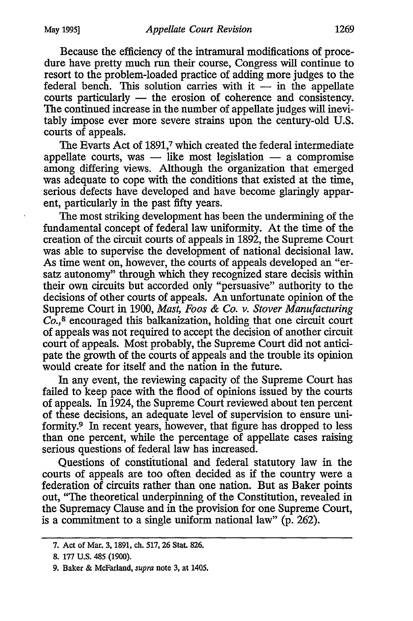Because the efficiency of the intramural modifications of procedure have pretty much run their course, Congress will continue to resort to the problem-loaded practice of adding more judges to the federal bench. This solution carries with  $it -$  in the appellate courts particularly **-** the erosion of coherence and consistency. The continued increase in the number of appellate judges will inevitably impose ever more severe strains upon the century-old U.S. courts of appeals.

The Evarts Act of 1891,7 which created the federal intermediate appellate courts, was - like most legislation - a compromise among differing views. Although the organization that emerged was adequate to cope with the conditions that existed at the time, serious defects have developed and have become glaringly apparent, particularly in the past fifty years.

The most striking development has been the undermining of the fundamental concept of federal law uniformity. At the time of the creation of the circuit courts of appeals in 1892, the Supreme Court was able to supervise the development of national decisional law. As time went on, however, the courts of appeals developed an "ersatz autonomy" through which they recognized stare decisis within their own circuits but accorded only "persuasive" authority to the decisions of other courts of appeals. An unfortunate opinion of the Supreme Court in 1900, *Mast, Foos & Co. v. Stover Manufacturing Co.,8* encouraged this balkanization, holding that one circuit court of appeals was not required to accept the decision of another circuit court of appeals. Most probably, the Supreme Court did not anticipate the growth of the courts of appeals and the trouble its opinion would create for itself and the nation in the future.

In any event, the reviewing capacity of the Supreme Court has failed to keep pace with the flood of opinions issued by the courts of appeals. In 1924, the Supreme Court reviewed about ten percent of these decisions, an adequate level of supervision to ensure uniformity.9 In recent years, however, that figure has dropped to less than one percent, while the percentage of appellate cases raising serious questions of federal law has increased.

Questions of constitutional and federal statutory law in the courts of appeals are too often decided as if the country were a federation of circuits rather than one nation. But as Baker points out, "The theoretical underpinning of the Constitution, revealed in the Supremacy Clause and in the provision for one Supreme Court, is a commitment to a single uniform national law" (p. 262).

<sup>7.</sup> Act of Mar. 3, 1891, ch. 517, 26 Stat. 826.

<sup>8. 177</sup> U.S. 485 (1900).

<sup>9.</sup> Baker & McFarland, *supra* note 3, at 1405.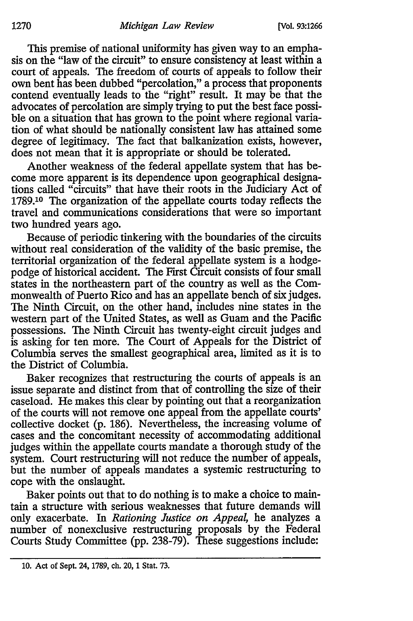This premise of national uniformity has given way to an emphasis on the "law of the circuit" to ensure consistency at least within a court of appeals. The freedom of courts of appeals to follow their own bent has been dubbed "percolation," a process that proponents contend eventually leads to the "right" result. It may be that the advocates of percolation are simply trying to put the best face possible on a situation that has grown to the point where regional variation of what should be nationally consistent law has attained some degree of legitimacy. The fact that balkanization exists, however, does not mean that it is appropriate or should be tolerated.

Another weakness of the federal appellate system that has become more apparent is its dependence upon geographical designations called "circuits" that have their roots in the Judiciary Act of 1789.10 The organization of the appellate courts today reflects the travel and communications considerations that were so important two hundred years ago.

Because of periodic tinkering with the boundaries of the circuits without real consideration of the validity of the basic premise, the territorial organization of the federal appellate system is a hodgepodge of historical accident. The First Circuit consists of four small states in the northeastern part of the country as well as the Commonwealth of Puerto Rico and has an appellate bench of six judges. The Ninth Circuit, on the other hand, includes nine states in the western part of the United States, as well as Guam and the Pacific possessions. The Ninth Circuit has twenty-eight circuit judges and is asking for ten more. The Court of Appeals for the District of Columbia serves the smallest geographical area, limited as it is to the District of Columbia.

Baker recognizes that restructuring the courts of appeals is an issue separate and distinct from that of controlling the size of their caseload. He makes this clear by pointing out that a reorganization of the courts will not remove one appeal from the appellate courts' collective docket (p. 186). Nevertheless, the increasing volume of cases and the concomitant necessity of accommodating additional judges within the appellate courts mandate a thorough study of the system. Court restructuring will not reduce the number of appeals, but the number of appeals mandates a systemic restructuring to cope with the onslaught.

Baker points out that to do nothing is to make a choice to maintain a structure with serious weaknesses that future demands will only exacerbate. In *Rationing Justice on Appeal,* he analyzes a number of nonexclusive restructuring proposals by the Federal Courts Study Committee (pp. 238-79). These suggestions include:

<sup>10.</sup> Act of Sept. 24, 1789, ch. 20, 1 Stat. 73.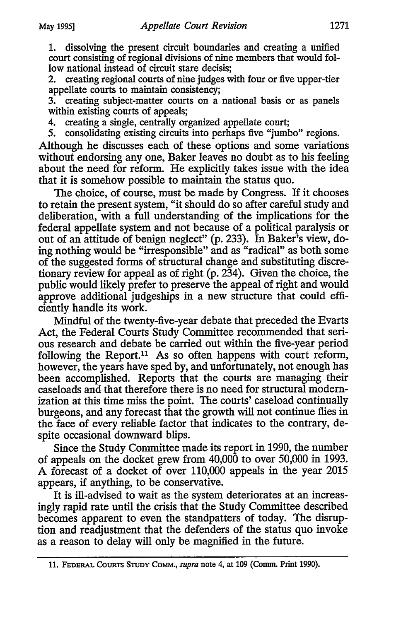1. dissolving the present circuit boundaries and creating a unified court consisting of regional divisions of nine members that would follow national instead of circuit stare decisis;

2. creating regional courts of nine judges with four or five upper-tier appellate courts to maintain consistency;

3. creating subject-matter courts on a national basis or as panels within existing courts of appeals;

4. creating a single, centrally organized appellate court;

5. consolidating existing circuits into perhaps five "jumbo" regions.

Although he discusses each of these options and some variations without endorsing any one, Baker leaves no doubt as to his feeling about the need for reform. He explicitly takes issue with the idea that it is somehow possible to maintain the status quo.

The choice, of course, must be made by Congress. If it chooses to retain the present system, "it should do so after careful study and deliberation, with a full understanding of the implications for the federal appellate system and not because of a political paralysis or out of an attitude of benign neglect" (p. 233). In Baker's view, doing nothing would be "irresponsible" and as "radical" as both some of the suggested forms of structural change and substituting discretionary review for appeal as of right (p. 234). Given the choice, the public would likely prefer to preserve the appeal of right and would approve additional judgeships in a new structure that could efficiently handle its work.

Mindful of the twenty-five-year debate that preceded the Evarts Act, the Federal Courts Study Committee recommended that serious research and debate be carried out within the five-year period following the Report.<sup>11</sup> As so often happens with court reform, however, the years have sped by, and unfortunately, not enough has been accomplished. Reports that the courts are managing their caseloads and that therefore there is no need for structural modernization at this time miss the point. The courts' caseload continually burgeons, and any forecast that the growth will not continue flies in the face of every reliable factor that indicates to the contrary, despite occasional downward blips.

Since the Study Committee made its report in 1990, the number of appeals on the docket grew from 40,000 to over 50,000 in 1993. A forecast of a docket of over 110,000 appeals in the year 2015 appears, if anything, to be conservative.

It is ill-advised to wait as the system deteriorates at an increasingly rapid rate until the crisis that the Study Committee described becomes apparent to even the standpatters of today. The disruption and readjustment that the defenders of the status quo invoke as a reason to delay will only be magnified in the future.

<sup>11.</sup> FEDERAL COURTS STUDY COMM., *supra* note 4, at 109 (Comm. Print 1990).